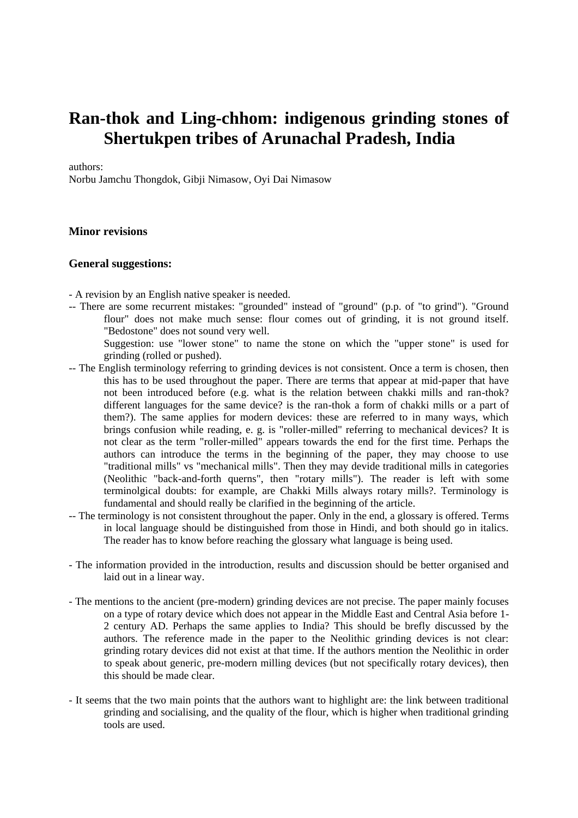# **Ran-thok and Ling-chhom: indigenous grinding stones of Shertukpen tribes of Arunachal Pradesh, India**

authors:

Norbu Jamchu Thongdok, Gibji Nimasow, Oyi Dai Nimasow

## **Minor revisions**

#### **General suggestions:**

- A revision by an English native speaker is needed.

-- There are some recurrent mistakes: "grounded" instead of "ground" (p.p. of "to grind"). "Ground flour" does not make much sense: flour comes out of grinding, it is not ground itself. "Bedostone" does not sound very well.

Suggestion: use "lower stone" to name the stone on which the "upper stone" is used for grinding (rolled or pushed).

- -- The English terminology referring to grinding devices is not consistent. Once a term is chosen, then this has to be used throughout the paper. There are terms that appear at mid-paper that have not been introduced before (e.g. what is the relation between chakki mills and ran-thok? different languages for the same device? is the ran-thok a form of chakki mills or a part of them?). The same applies for modern devices: these are referred to in many ways, which brings confusion while reading, e. g. is "roller-milled" referring to mechanical devices? It is not clear as the term "roller-milled" appears towards the end for the first time. Perhaps the authors can introduce the terms in the beginning of the paper, they may choose to use "traditional mills" vs "mechanical mills". Then they may devide traditional mills in categories (Neolithic "back-and-forth querns", then "rotary mills"). The reader is left with some terminolgical doubts: for example, are Chakki Mills always rotary mills?. Terminology is fundamental and should really be clarified in the beginning of the article.
- -- The terminology is not consistent throughout the paper. Only in the end, a glossary is offered. Terms in local language should be distinguished from those in Hindi, and both should go in italics. The reader has to know before reaching the glossary what language is being used.
- The information provided in the introduction, results and discussion should be better organised and laid out in a linear way.
- The mentions to the ancient (pre-modern) grinding devices are not precise. The paper mainly focuses on a type of rotary device which does not appear in the Middle East and Central Asia before 1- 2 century AD. Perhaps the same applies to India? This should be brefly discussed by the authors. The reference made in the paper to the Neolithic grinding devices is not clear: grinding rotary devices did not exist at that time. If the authors mention the Neolithic in order to speak about generic, pre-modern milling devices (but not specifically rotary devices), then this should be made clear.
- It seems that the two main points that the authors want to highlight are: the link between traditional grinding and socialising, and the quality of the flour, which is higher when traditional grinding tools are used.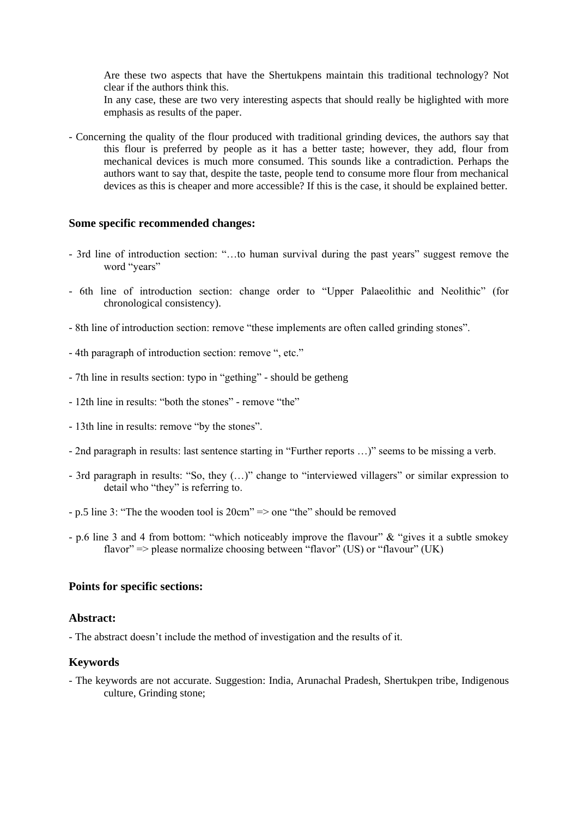Are these two aspects that have the Shertukpens maintain this traditional technology? Not clear if the authors think this.

In any case, these are two very interesting aspects that should really be higlighted with more emphasis as results of the paper.

- Concerning the quality of the flour produced with traditional grinding devices, the authors say that this flour is preferred by people as it has a better taste; however, they add, flour from mechanical devices is much more consumed. This sounds like a contradiction. Perhaps the authors want to say that, despite the taste, people tend to consume more flour from mechanical devices as this is cheaper and more accessible? If this is the case, it should be explained better.

#### **Some specific recommended changes:**

- 3rd line of introduction section: "…to human survival during the past years" suggest remove the word "years"
- 6th line of introduction section: change order to "Upper Palaeolithic and Neolithic" (for chronological consistency).
- 8th line of introduction section: remove "these implements are often called grinding stones".
- 4th paragraph of introduction section: remove ", etc."
- 7th line in results section: typo in "gething" should be getheng
- 12th line in results: "both the stones" remove "the"
- 13th line in results: remove "by the stones".
- 2nd paragraph in results: last sentence starting in "Further reports …)" seems to be missing a verb.
- 3rd paragraph in results: "So, they (…)" change to "interviewed villagers" or similar expression to detail who "they" is referring to.
- p.5 line 3: "The the wooden tool is 20cm" => one "the" should be removed
- p.6 line 3 and 4 from bottom: "which noticeably improve the flavour" & "gives it a subtle smokey flavor"  $\Rightarrow$  please normalize choosing between "flavor" (US) or "flavour" (UK)

#### **Points for specific sections:**

#### **Abstract:**

- The abstract doesn't include the method of investigation and the results of it.

## **Keywords**

- The keywords are not accurate. Suggestion: India, Arunachal Pradesh, Shertukpen tribe, Indigenous culture, Grinding stone;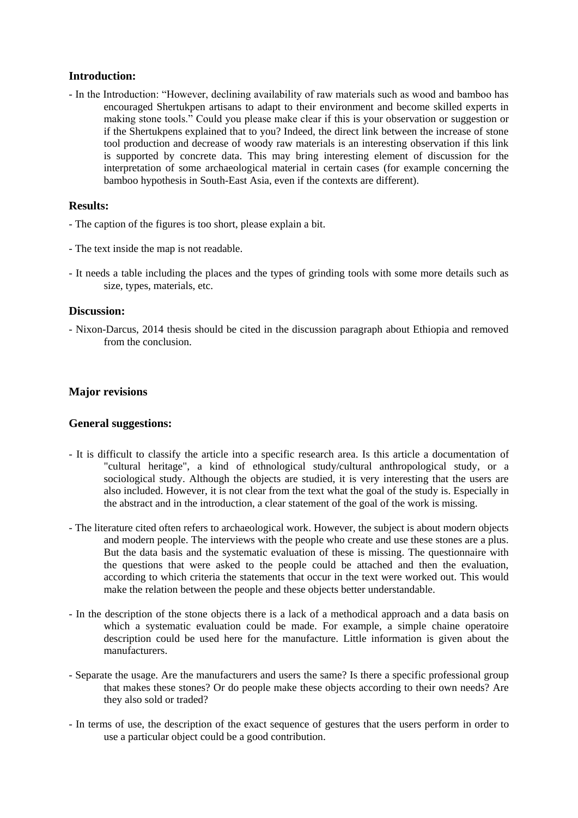# **Introduction:**

- In the Introduction: "However, declining availability of raw materials such as wood and bamboo has encouraged Shertukpen artisans to adapt to their environment and become skilled experts in making stone tools." Could you please make clear if this is your observation or suggestion or if the Shertukpens explained that to you? Indeed, the direct link between the increase of stone tool production and decrease of woody raw materials is an interesting observation if this link is supported by concrete data. This may bring interesting element of discussion for the interpretation of some archaeological material in certain cases (for example concerning the bamboo hypothesis in South-East Asia, even if the contexts are different).

# **Results:**

- The caption of the figures is too short, please explain a bit.
- The text inside the map is not readable.
- It needs a table including the places and the types of grinding tools with some more details such as size, types, materials, etc.

## **Discussion:**

- Nixon-Darcus, 2014 thesis should be cited in the discussion paragraph about Ethiopia and removed from the conclusion.

# **Major revisions**

## **General suggestions:**

- It is difficult to classify the article into a specific research area. Is this article a documentation of "cultural heritage", a kind of ethnological study/cultural anthropological study, or a sociological study. Although the objects are studied, it is very interesting that the users are also included. However, it is not clear from the text what the goal of the study is. Especially in the abstract and in the introduction, a clear statement of the goal of the work is missing.
- The literature cited often refers to archaeological work. However, the subject is about modern objects and modern people. The interviews with the people who create and use these stones are a plus. But the data basis and the systematic evaluation of these is missing. The questionnaire with the questions that were asked to the people could be attached and then the evaluation, according to which criteria the statements that occur in the text were worked out. This would make the relation between the people and these objects better understandable.
- In the description of the stone objects there is a lack of a methodical approach and a data basis on which a systematic evaluation could be made. For example, a simple chaine operatoire description could be used here for the manufacture. Little information is given about the manufacturers.
- Separate the usage. Are the manufacturers and users the same? Is there a specific professional group that makes these stones? Or do people make these objects according to their own needs? Are they also sold or traded?
- In terms of use, the description of the exact sequence of gestures that the users perform in order to use a particular object could be a good contribution.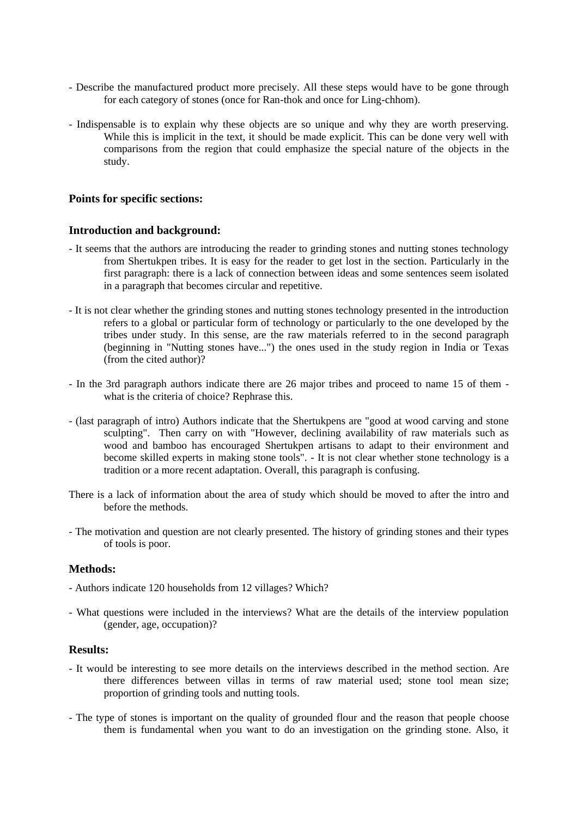- Describe the manufactured product more precisely. All these steps would have to be gone through for each category of stones (once for Ran-thok and once for Ling-chhom).
- Indispensable is to explain why these objects are so unique and why they are worth preserving. While this is implicit in the text, it should be made explicit. This can be done very well with comparisons from the region that could emphasize the special nature of the objects in the study.

## **Points for specific sections:**

#### **Introduction and background:**

- It seems that the authors are introducing the reader to grinding stones and nutting stones technology from Shertukpen tribes. It is easy for the reader to get lost in the section. Particularly in the first paragraph: there is a lack of connection between ideas and some sentences seem isolated in a paragraph that becomes circular and repetitive.
- It is not clear whether the grinding stones and nutting stones technology presented in the introduction refers to a global or particular form of technology or particularly to the one developed by the tribes under study. In this sense, are the raw materials referred to in the second paragraph (beginning in "Nutting stones have...") the ones used in the study region in India or Texas (from the cited author)?
- In the 3rd paragraph authors indicate there are 26 major tribes and proceed to name 15 of them what is the criteria of choice? Rephrase this.
- (last paragraph of intro) Authors indicate that the Shertukpens are "good at wood carving and stone sculpting". Then carry on with "However, declining availability of raw materials such as wood and bamboo has encouraged Shertukpen artisans to adapt to their environment and become skilled experts in making stone tools". - It is not clear whether stone technology is a tradition or a more recent adaptation. Overall, this paragraph is confusing.
- There is a lack of information about the area of study which should be moved to after the intro and before the methods.
- The motivation and question are not clearly presented. The history of grinding stones and their types of tools is poor.

## **Methods:**

- Authors indicate 120 households from 12 villages? Which?
- What questions were included in the interviews? What are the details of the interview population (gender, age, occupation)?

## **Results:**

- It would be interesting to see more details on the interviews described in the method section. Are there differences between villas in terms of raw material used; stone tool mean size; proportion of grinding tools and nutting tools.
- The type of stones is important on the quality of grounded flour and the reason that people choose them is fundamental when you want to do an investigation on the grinding stone. Also, it